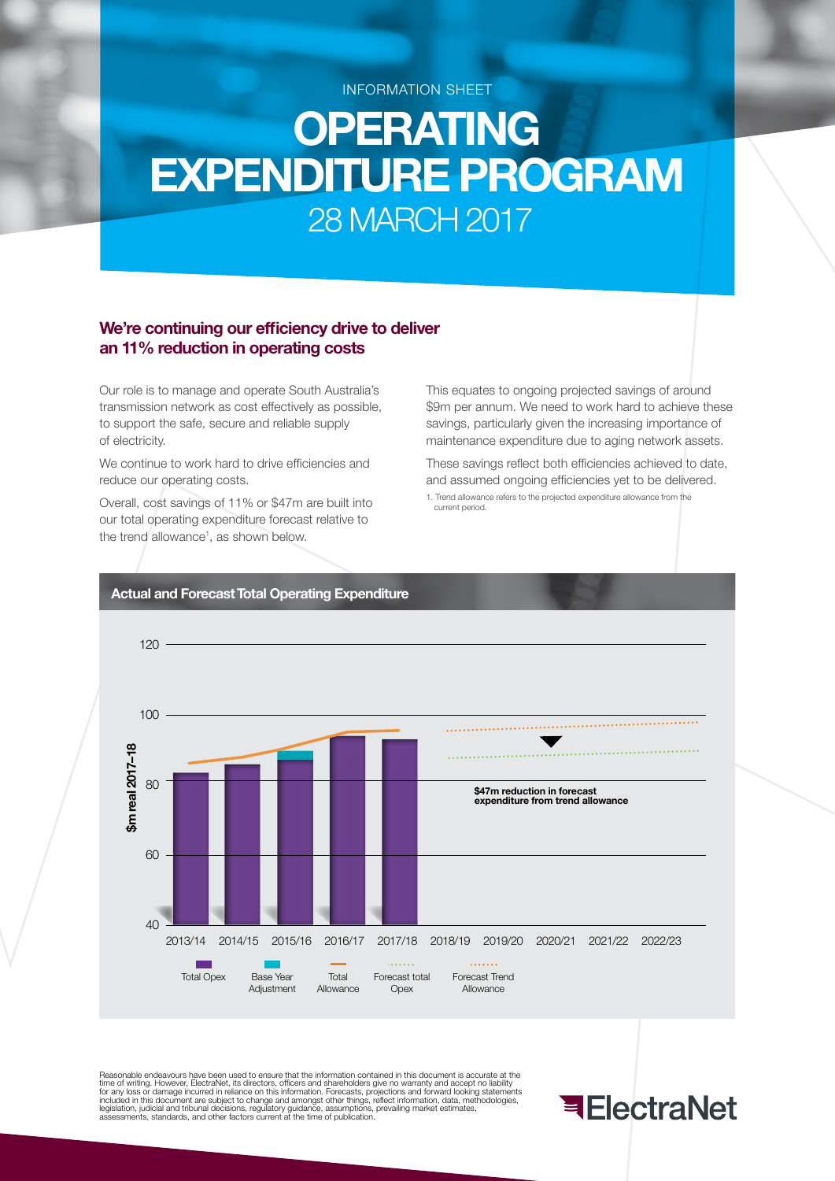INFORMATION SHEET

## **OPERATING EXPENDITURE PROGRAM** 28 MARCH 2017

## **We're continuing our efficiency drive to deliver an 11% reduction in operating costs**

Our role is to manage and operate South Australia's transmission network as cost effectively as possible, to support the safe, secure and reliable supply of electricity.

We continue to work hard to drive efficiencies and reduce our operating costs.

Overall, cost savings of 11% or \$47m are built into our total operating expenditure forecast relative to the trend allowance<sup>1</sup>, as shown below.

This equates to ongoing projected savings of around \$9m per annum. We need to work hard to achieve these savings, particularly given the increasing importance of maintenance expenditure due to aging network assets.

These savings reflect both efficiencies achieved to date, and assumed ongoing efficiencies yet to be delivered.

1. Trend allowance refers to the projected expenditure allowance from the current period.



Reasonable endeavours have been used to ensure that the information contained in this document is accurate at the<br>time of writing. However, ElectraNet, its directors, officers and shareholders give no warranty and accept n